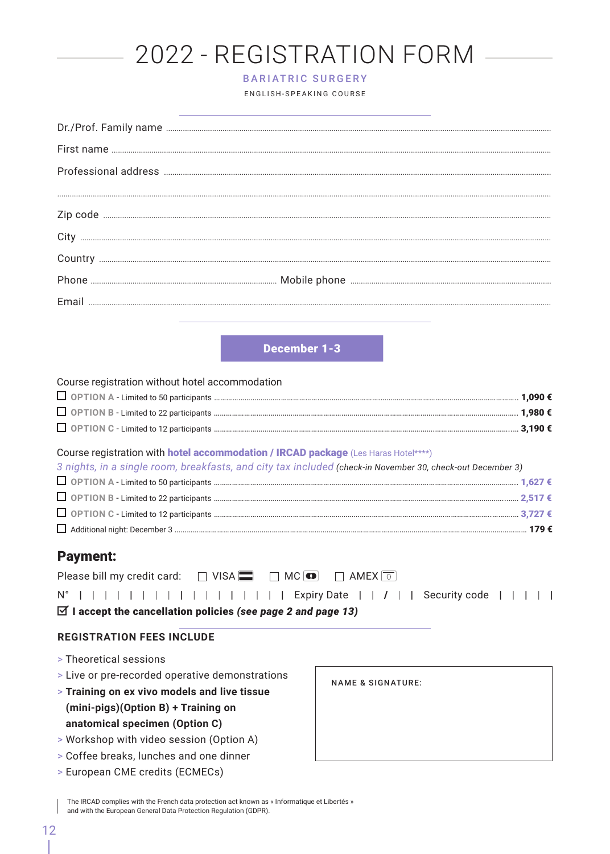# 2022 - REGISTRATION FORM

#### BARIATRIC SURGERY

ENGLISH-SPEAKING COURSE

|       | $Dr. / Prof. Family name  \ _{} \newline$ |
|-------|-------------------------------------------|
|       |                                           |
|       |                                           |
|       |                                           |
|       |                                           |
|       |                                           |
|       |                                           |
|       |                                           |
| Fmail |                                           |
|       |                                           |

December 1-3

| Course registration without hotel accommodation                                    |  |
|------------------------------------------------------------------------------------|--|
|                                                                                    |  |
|                                                                                    |  |
|                                                                                    |  |
| Course registration with hotel accommodation / IRCAD package (Les Haras Hotel****) |  |

| 3 nights, in a single room, breakfasts, and city tax included (check-in November 30, check-out December 3) |  |
|------------------------------------------------------------------------------------------------------------|--|
|                                                                                                            |  |
|                                                                                                            |  |
|                                                                                                            |  |
|                                                                                                            |  |

### Payment:

|  |  |  |  |  |  |  |  |  | Please bill my credit card: $\Box$ VISA $\Box$ $\Box$ MC $\Box$ $\Box$ AMEX $\boxed{\circ}$ |  |  |  |                                                                                 |  |  |  |
|--|--|--|--|--|--|--|--|--|---------------------------------------------------------------------------------------------|--|--|--|---------------------------------------------------------------------------------|--|--|--|
|  |  |  |  |  |  |  |  |  |                                                                                             |  |  |  | $N^{\circ}$                                 Expiry Date     /     Security code |  |  |  |

I accept the cancellation policies *(see page 2 and page 13)*

### **REGISTRATION FEES INCLUDE**

- > Theoretical sessions
- > Live or pre-recorded operative demonstrations
- > **Training on ex vivo models and live tissue (mini-pigs)(Option B) + Training on anatomical specimen (Option C)**
- > Workshop with video session (Option A)
- > Coffee breaks, lunches and one dinner
- > European CME credits (ECMECs)

NAME & SIGNATURE:

The IRCAD complies with the French data protection act known as « Informatique et Libertés » and with the European General Data Protection Regulation (GDPR).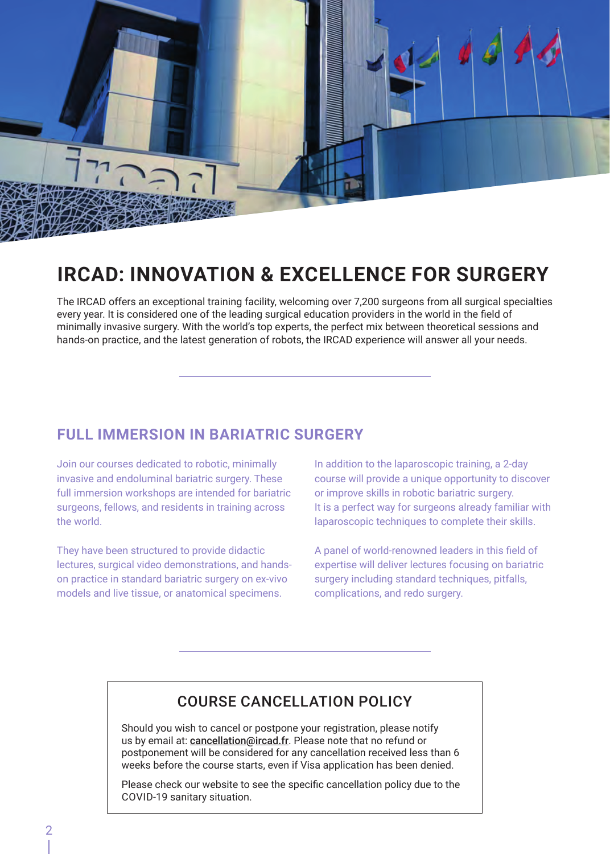

## **IRCAD: INNOVATION & EXCELLENCE FOR SURGERY**

The IRCAD offers an exceptional training facility, welcoming over 7,200 surgeons from all surgical specialties every year. It is considered one of the leading surgical education providers in the world in the field of minimally invasive surgery. With the world's top experts, the perfect mix between theoretical sessions and hands-on practice, and the latest generation of robots, the IRCAD experience will answer all your needs.

### **FULL IMMERSION IN BARIATRIC SURGERY**

Join our courses dedicated to robotic, minimally invasive and endoluminal bariatric surgery. These full immersion workshops are intended for bariatric surgeons, fellows, and residents in training across the world.

They have been structured to provide didactic lectures, surgical video demonstrations, and handson practice in standard bariatric surgery on ex-vivo models and live tissue, or anatomical specimens.

In addition to the laparoscopic training, a 2-day course will provide a unique opportunity to discover or improve skills in robotic bariatric surgery. It is a perfect way for surgeons already familiar with laparoscopic techniques to complete their skills.

A panel of world-renowned leaders in this field of expertise will deliver lectures focusing on bariatric surgery including standard techniques, pitfalls, complications, and redo surgery.

### COURSE CANCELLATION POLICY

Should you wish to cancel or postpone your registration, please notify us by email at: cancellation@ircad.fr. Please note that no refund or postponement will be considered for any cancellation received less than 6 weeks before the course starts, even if Visa application has been denied.

Please check our website to see the specific cancellation policy due to the COVID-19 sanitary situation.